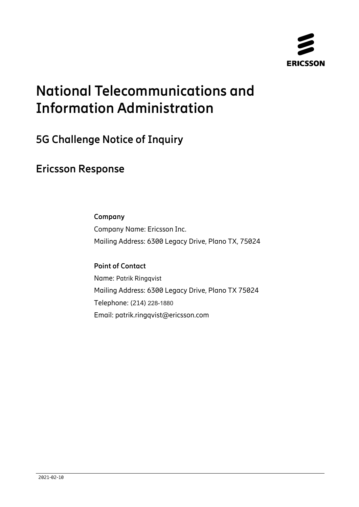

# **National Telecommunications and Information Administration**

## **5G Challenge Notice of Inquiry**

## **Ericsson Response**

### **Company**

Company Name: Ericsson Inc. Mailing Address: 6300 Legacy Drive, Plano TX, 75024

## **Point of Contact**

Name: Patrik Ringqvist Mailing Address: 6300 Legacy Drive, Plano TX 75024 Telephone: (214) 228-1880 Email: patrik.ringqvist@ericsson.com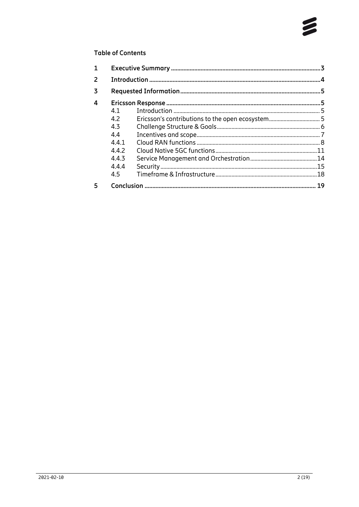#### **Table of Contents**

| 1              |       |                                                  |  |
|----------------|-------|--------------------------------------------------|--|
| $\overline{2}$ |       |                                                  |  |
| 3              |       |                                                  |  |
| 4              |       |                                                  |  |
|                | 4.1   |                                                  |  |
|                | 4.2   | Ericsson's contributions to the open ecosystem 5 |  |
|                | 4.3   |                                                  |  |
|                | 4.4   |                                                  |  |
|                | 441   |                                                  |  |
|                | 4.4.2 |                                                  |  |
|                | 4.4.3 |                                                  |  |
|                | 4.4.4 |                                                  |  |
|                | 4.5   |                                                  |  |
| 5              |       |                                                  |  |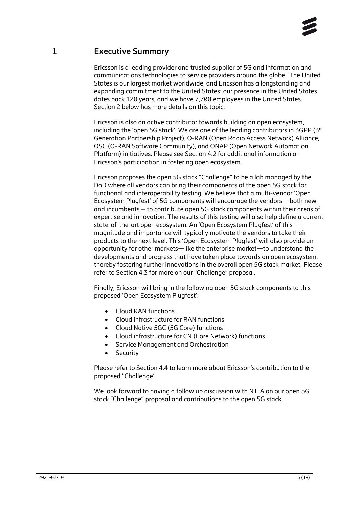## 1 **Executive Summary**

<span id="page-2-0"></span>Ericsson is a leading provider and trusted supplier of 5G and information and communications technologies to service providers around the globe. The United States is our largest market worldwide, and Ericsson has a longstanding and expanding commitment to the United States: our presence in the United States dates back 120 years, and we have 7,700 employees in the United States. Section [2](#page-3-0) below has more details on this topic.

Ericsson is also an active contributor towards building an open ecosystem, including the 'open 5G stack'. We are one of the leading contributors in 3GPP  $(3<sup>rd</sup>)$ Generation Partnership Project), O-RAN (Open Radio Access Network) Alliance, OSC (O-RAN Software Community), and ONAP (Open Network Automation Platform) initiatives. Please see Section [4.2](#page-4-3) for additional information on Ericsson's participation in fostering open ecosystem.

Ericsson proposes the open 5G stack "Challenge" to be a lab managed by the DoD where all vendors can bring their components of the open 5G stack for functional and interoperability testing. We believe that a multi-vendor 'Open Ecosystem Plugfest' of 5G components will encourage the vendors – both new and incumbents – to contribute open 5G stack components within their areas of expertise and innovation. The results of this testing will also help define a current state-of-the-art open ecosystem. An 'Open Ecosystem Plugfest' of this magnitude and importance will typically motivate the vendors to take their products to the next level. This 'Open Ecosystem Plugfest' will also provide an opportunity for other markets—like the enterprise market—to understand the developments and progress that have taken place towards an open ecosystem, thereby fostering further innovations in the overall open 5G stack market. Please refer to Section [4.3](#page-5-0) for more on our "Challenge" proposal.

Finally, Ericsson will bring in the following open 5G stack components to this proposed 'Open Ecosystem Plugfest':

- Cloud RAN functions
- Cloud infrastructure for RAN functions
- Cloud Native 5GC (5G Core) functions
- Cloud infrastructure for CN (Core Network) functions
- Service Management and Orchestration
- Security

Please refer to Section [4.4](#page-6-0) to learn more about Ericsson's contribution to the proposed "Challenge'.

We look forward to having a follow up discussion with NTIA on our open 5G stack "Challenge" proposal and contributions to the open 5G stack.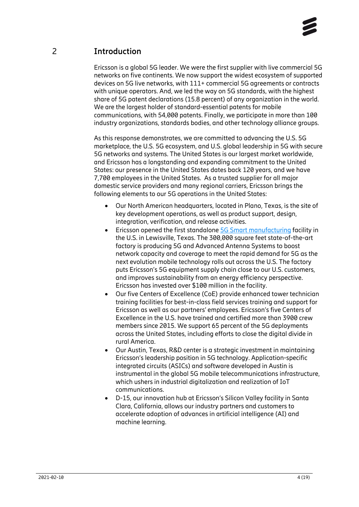## 2 **Introduction**

<span id="page-3-0"></span>Ericsson is a global 5G leader. We were the first supplier with live commercial 5G networks on five continents. We now support the widest ecosystem of supported devices on 5G live networks, with 111+ commercial 5G agreements or contracts with unique operators. And, we led the way on 5G standards, with the highest share of 5G patent declarations (15.8 percent) of any organization in the world. We are the largest holder of standard-essential patents for mobile communications, with 54,000 patents. Finally, we participate in more than 100 industry organizations, standards bodies, and other technology alliance groups.

As this response demonstrates, we are committed to advancing the U.S. 5G marketplace, the U.S. 5G ecosystem, and U.S. global leadership in 5G with secure 5G networks and systems. The United States is our largest market worldwide, and Ericsson has a longstanding and expanding commitment to the United States: our presence in the United States dates back 120 years, and we have 7,700 employees in the United States. As a trusted supplier for all major domestic service providers and many regional carriers, Ericsson brings the following elements to our 5G operations in the United States:

- Our North American headquarters, located in Plano, Texas, is the site of key development operations, as well as product support, design, integration, verification, and release activities.
- Ericsson opened the first standalon[e 5G Smart manufacturing](https://www.ericsson.com/en/press-releases/2020/3/ericsson-usa-5g-smart-factory-produces-its-first-base-stations) facility in the U.S. in Lewisville, Texas. The 300,000 square feet state-of-the-art factory is producing 5G and Advanced Antenna Systems to boost network capacity and coverage to meet the rapid demand for 5G as the next evolution mobile technology rolls out across the U.S. The factory puts Ericsson's 5G equipment supply chain close to our U.S. customers, and improves sustainability from an energy efficiency perspective. Ericsson has invested over \$100 million in the facility.
- Our five Centers of Excellence (CoE) provide enhanced tower technician training facilities for best-in-class field services training and support for Ericsson as well as our partners' employees. Ericsson's five Centers of Excellence in the U.S. have trained and certified more than 3900 crew members since 2015. We support 65 percent of the 5G deployments across the United States, including efforts to close the digital divide in rural America.
- Our Austin, Texas, R&D center is a strategic investment in maintaining Ericsson's leadership position in 5G technology. Application-specific integrated circuits (ASICs) and software developed in Austin is instrumental in the global 5G mobile telecommunications infrastructure, which ushers in industrial digitalization and realization of IoT communications.
- D-15, our innovation hub at Ericsson's Silicon Valley facility in Santa Clara, California, allows our industry partners and customers to accelerate adoption of advances in artificial intelligence (AI) and machine learning.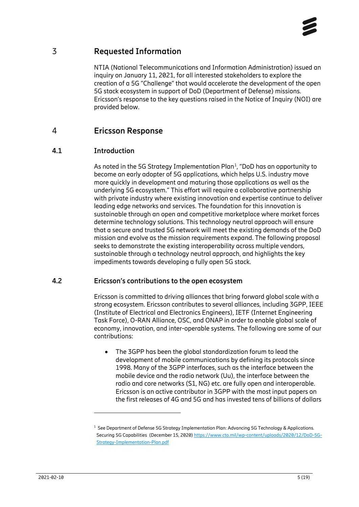

## 3 **Requested Information**

<span id="page-4-0"></span>NTIA (National Telecommunications and Information Administration) issued an inquiry on January 11, 2021, for all interested stakeholders to explore the creation of a 5G "Challenge" that would accelerate the development of the open 5G stack ecosystem in support of DoD (Department of Defense) missions. Ericsson's response to the key questions raised in the Notice of Inquiry (NOI) are provided below.

### <span id="page-4-1"></span>4 **Ericsson Response**

#### **4.1 Introduction**

<span id="page-4-2"></span>As noted in the 5G Strategy Implementation Plan<sup>[1](#page-4-4)</sup>, "DoD has an opportunity to become an early adopter of 5G applications, which helps U.S. industry move more quickly in development and maturing those applications as well as the underlying 5G ecosystem." This effort will require a collaborative partnership with private industry where existing innovation and expertise continue to deliver leading edge networks and services. The foundation for this innovation is sustainable through an open and competitive marketplace where market forces determine technology solutions. This technology neutral approach will ensure that a secure and trusted 5G network will meet the existing demands of the DoD mission and evolve as the mission requirements expand. The following proposal seeks to demonstrate the existing interoperability across multiple vendors, sustainable through a technology neutral approach, and highlights the key impediments towards developing a fully open 5G stack.

#### **4.2 Ericsson's contributions to the open ecosystem**

<span id="page-4-3"></span>Ericsson is committed to driving alliances that bring forward global scale with a strong ecosystem. Ericsson contributes to several alliances, including 3GPP, IEEE (Institute of Electrical and Electronics Engineers), IETF (Internet Engineering Task Force), O-RAN Alliance, OSC, and ONAP in order to enable global scale of economy, innovation, and inter-operable systems. The following are some of our contributions:

• The 3GPP has been the global standardization forum to lead the development of mobile communications by defining its protocols since 1998. Many of the 3GPP interfaces, such as the interface between the mobile device and the radio network (Uu), the interface between the radio and core networks (S1, NG) etc. are fully open and interoperable. Ericsson is an active contributor in 3GPP with the most input papers on the first releases of 4G and 5G and has invested tens of billions of dollars

<span id="page-4-4"></span><sup>&</sup>lt;sup>1</sup> See Department of Defense 5G Strategy Implementation Plan: Advancing 5G Technology & Applications. Securing 5G Capabilities (December 15, 2020[\) https://www.cto.mil/wp-content/uploads/2020/12/DoD-5G-](https://www.cto.mil/wp-content/uploads/2020/12/DoD-5G-Strategy-Implementation-Plan.pdf)[Strategy-Implementation-Plan.pdf](https://www.cto.mil/wp-content/uploads/2020/12/DoD-5G-Strategy-Implementation-Plan.pdf)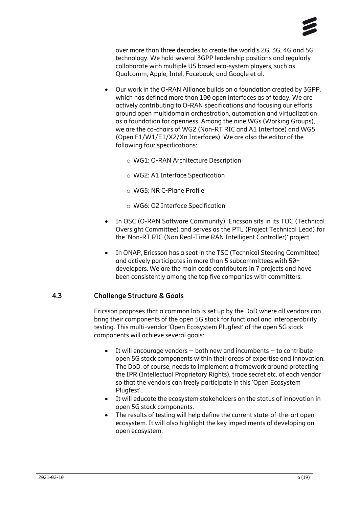

over more than three decades to create the world's 2G, 3G, 4G and 5G technology. We hold several 3GPP leadership positions and regularly collaborate with multiple US based eco-system players, such as Qualcomm, Apple, Intel, Facebook, and Google et al.

- Our work in the O-RAN Alliance builds on a foundation created by 3GPP, which has defined more than 100 open interfaces as of today. We are actively contributing to O-RAN specifications and focusing our efforts around open multidomain orchestration, automation and virtualization as a foundation for openness. Among the nine WGs (Working Groups), we are the co-chairs of WG2 (Non-RT RIC and A1 Interface) and WG5 (Open F1/W1/E1/X2/Xn Interfaces). We are also the editor of the following four specifications:
	- o WG1: O-RAN Architecture Description
	- o WG2: A1 Interface Specification
	- o WG5: NR C-Plane Profile
	- o WG6: O2 Interface Specification
- In OSC (O-RAN Software Community), Ericsson sits in its TOC (Technical Oversight Committee) and serves as the PTL (Project Technical Lead) for the 'Non-RT RIC (Non Real-Time RAN Intelligent Controller)' project.
- In ONAP, Ericsson has a seat in the TSC (Technical Steering Committee) and actively participates in more than 5 subcommittees with 50+ developers. We are the main code contributors in 7 projects and have been consistently among the top five companies with committers.

#### **4.3 Challenge Structure & Goals**

<span id="page-5-0"></span>Ericsson proposes that a common lab is set up by the DoD where all vendors can bring their components of the open 5G stack for functional and interoperability testing. This multi-vendor 'Open Ecosystem Plugfest' of the open 5G stack components will achieve several goals:

- It will encourage vendors  $-$  both new and incumbents  $-$  to contribute open 5G stack components within their areas of expertise and innovation. The DoD, of course, needs to implement a framework around protecting the IPR (Intellectual Proprietary Rights), trade secret etc. of each vendor so that the vendors can freely participate in this 'Open Ecosystem Plugfest'.
- It will educate the ecosystem stakeholders on the status of innovation in open 5G stack components.
- The results of testing will help define the current state-of-the-art open ecosystem. It will also highlight the key impediments of developing an open ecosystem.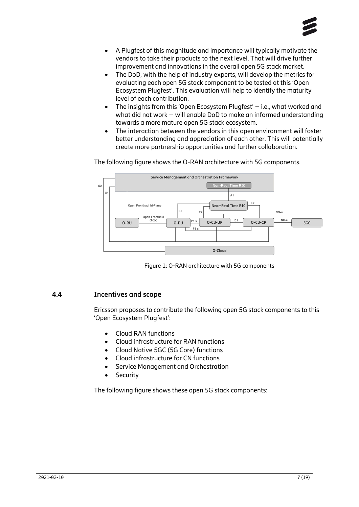- A Plugfest of this magnitude and importance will typically motivate the vendors to take their products to the next level. That will drive further improvement and innovations in the overall open 5G stack market.
- The DoD, with the help of industry experts, will develop the metrics for evaluating each open 5G stack component to be tested at this 'Open Ecosystem Plugfest'. This evaluation will help to identify the maturity level of each contribution.
- The insights from this 'Open Ecosystem Plugfest' i.e., what worked and what did not work – will enable DoD to make an informed understanding towards a more mature open 5G stack ecosystem.
- The interaction between the vendors in this open environment will foster better understanding and appreciation of each other. This will potentially create more partnership opportunities and further collaboration.

The following figure shows the O-RAN architecture with 5G components.



Figure 1: O-RAN architecture with 5G components

#### **4.4 Incentives and scope**

<span id="page-6-0"></span>Ericsson proposes to contribute the following open 5G stack components to this 'Open Ecosystem Plugfest':

- Cloud RAN functions
- Cloud infrastructure for RAN functions
- Cloud Native 5GC (5G Core) functions
- Cloud infrastructure for CN functions
- Service Management and Orchestration
- Security

The following figure shows these open 5G stack components: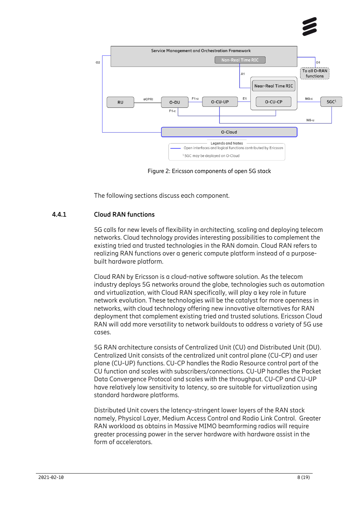



Figure 2: Ericsson components of open 5G stack

<span id="page-7-0"></span>The following sections discuss each component.

#### **4.4.1 Cloud RAN functions**

5G calls for new levels of flexibility in architecting, scaling and deploying telecom networks. Cloud technology provides interesting possibilities to complement the existing tried and trusted technologies in the RAN domain. Cloud RAN refers to realizing RAN functions over a generic compute platform instead of a purposebuilt hardware platform.

Cloud RAN by Ericsson is a cloud-native software solution. As the telecom industry deploys 5G networks around the globe, technologies such as automation and virtualization, with Cloud RAN specifically, will play a key role in future network evolution. These technologies will be the catalyst for more openness in networks, with cloud technology offering new innovative alternatives for RAN deployment that complement existing tried and trusted solutions. Ericsson Cloud RAN will add more versatility to network buildouts to address a variety of 5G use cases.

5G RAN architecture consists of Centralized Unit (CU) and Distributed Unit (DU). Centralized Unit consists of the centralized unit control plane (CU-CP) and user plane (CU-UP) functions. CU-CP handles the Radio Resource control part of the CU function and scales with subscribers/connections. CU-UP handles the Packet Data Convergence Protocol and scales with the throughput. CU-CP and CU-UP have relatively low sensitivity to latency, so are suitable for virtualization using standard hardware platforms.

Distributed Unit covers the latency-stringent lower layers of the RAN stack namely, Physical Layer, Medium Access Control and Radio Link Control. Greater RAN workload as obtains in Massive MIMO beamforming radios will require greater processing power in the server hardware with hardware assist in the form of accelerators.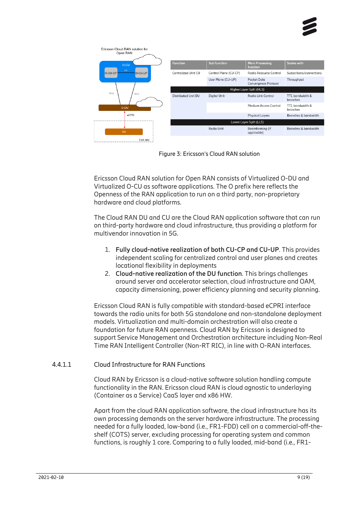



Figure 3: Ericsson's Cloud RAN solution

Ericsson Cloud RAN solution for Open RAN consists of Virtualized O-DU and Virtualized O-CU as software applications. The O prefix here reflects the Openness of the RAN application to run on a third party, non-proprietary hardware and cloud platforms.

The Cloud RAN DU and CU are the Cloud RAN application software that can run on third-party hardware and cloud infrastructure, thus providing a platform for multivendor innovation in 5G.

- 1. **Fully cloud-native realization of both CU-CP and CU-UP**. This provides independent scaling for centralized control and user planes and creates locational flexibility in deployments
- 2. **Cloud-native realization of the DU function**. This brings challenges around server and accelerator selection, cloud infrastructure and OAM, capacity dimensioning, power efficiency planning and security planning.

Ericsson Cloud RAN is fully compatible with standard-based eCPRI interface towards the radio units for both 5G standalone and non-standalone deployment models. Virtualization and multi-domain orchestration will also create a foundation for future RAN openness. Cloud RAN by Ericsson is designed to support Service Management and Orchestration architecture including Non-Real Time RAN Intelligent Controller (Non-RT RIC), in line with O-RAN interfaces.

#### 4.4.1.1 Cloud Infrastructure for RAN Functions

Cloud RAN by Ericsson is a cloud-native software solution handling compute functionality in the RAN. Ericsson cloud RAN is cloud agnostic to underlaying (Container as a Service) CaaS layer and x86 HW.

Apart from the cloud RAN application software, the cloud infrastructure has its own processing demands on the server hardware infrastructure. The processing needed for a fully loaded, low-band (i.e., FR1-FDD) cell on a commercial-off-theshelf (COTS) server, excluding processing for operating system and common functions, is roughly 1 core. Comparing to a fully loaded, mid-band (i.e., FR1-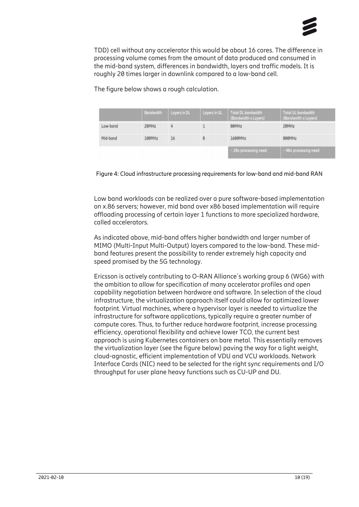

TDD) cell without any accelerator this would be about 16 cores. The difference in processing volume comes from the amount of data produced and consumed in the mid-band system, differences in bandwidth, layers and traffic models. It is roughly 20 times larger in downlink compared to a low-band cell.

The figure below shows a rough calculation.

|          | <b>Bandwidth</b> | Layers in DL | Layers in UL | Total DL bandwidth<br>(Bandwidth x Layers) | <b>Total UL bandwidth</b><br>(Bandwidth x Layers) |
|----------|------------------|--------------|--------------|--------------------------------------------|---------------------------------------------------|
| Low-band | 20MHz            |              |              | 80MHz                                      | 20MHz                                             |
| Mid-band | 100MHz           | 16           |              | 1600MHz                                    | 800MHz                                            |
|          |                  |              |              | $\sim$ 20x processing need                 | $\sim$ 40x processing need                        |



Low band workloads can be realized over a pure software-based implementation on x.86 servers; however, mid band over x86 based implementation will require offloading processing of certain layer 1 functions to more specialized hardware, called accelerators.

As indicated above, mid-band offers higher bandwidth and larger number of MIMO (Multi-Input Multi-Output) layers compared to the low-band. These midband features present the possibility to render extremely high capacity and speed promised by the 5G technology.

Ericsson is actively contributing to O-RAN Alliance´s working group 6 (WG6) with the ambition to allow for specification of many accelerator profiles and open capability negotiation between hardware and software. In selection of the cloud infrastructure, the virtualization approach itself could allow for optimized lower footprint. Virtual machines, where a hypervisor layer is needed to virtualize the infrastructure for software applications, typically require a greater number of compute cores. Thus, to further reduce hardware footprint, increase processing efficiency, operational flexibility and achieve lower TCO, the current best approach is using Kubernetes containers on bare metal. This essentially removes the virtualization layer (see the figure below) paving the way for a light weight, cloud-agnostic, efficient implementation of VDU and VCU workloads. Network Interface Cards (NIC) need to be selected for the right sync requirements and I/O throughput for user plane heavy functions such as CU-UP and DU.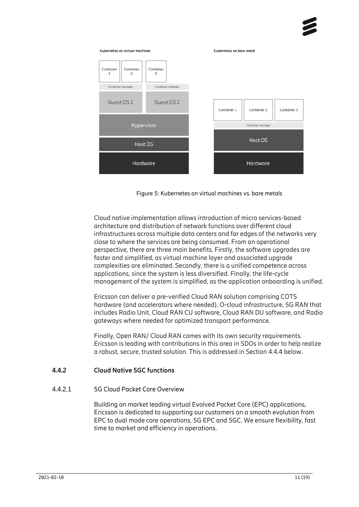



Cloud native implementation allows introduction of micro services-based architecture and distribution of network functions over different cloud infrastructures across multiple data centers and far edges of the networks very close to where the services are being consumed. From an operational perspective, there are three main benefits. Firstly, the software upgrades are faster and simplified, as virtual machine layer and associated upgrade complexities are eliminated. Secondly, there is a unified competence across applications, since the system is less diversified. Finally, the life-cycle management of the system is simplified, as the application onboarding is unified.

Ericsson can deliver a pre-verified Cloud RAN solution comprising COTS hardware (and accelerators where needed), O-cloud infrastructure, 5G RAN that includes Radio Unit, Cloud RAN CU software, Cloud RAN DU software, and Radio gateways where needed for optimized transport performance.

<span id="page-10-0"></span>Finally, Open RAN/ Cloud RAN comes with its own security requirements. Ericsson is leading with contributions in this area in SDOs in order to help realize a robust, secure, trusted solution. This is addressed in Section [4.4.4](#page-14-0) below.

#### **4.4.2 Cloud Native 5GC functions**

#### 4.4.2.1 5G Cloud Packet Core Overview

Building on market leading virtual Evolved Packet Core (EPC) applications, Ericsson is dedicated to supporting our customers on a smooth evolution from EPC to dual mode core operations, 5G EPC and 5GC. We ensure flexibility, fast time to market and efficiency in operations.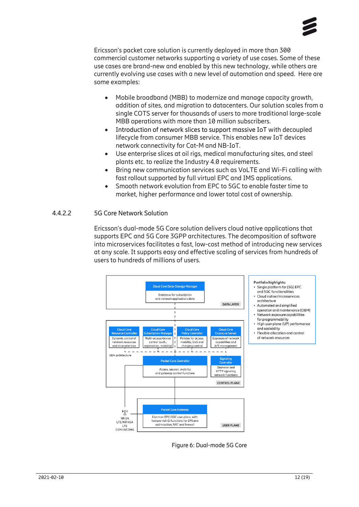

Ericsson's packet core solution is currently deployed in more than 300 commercial customer networks supporting a variety of use cases. Some of these use cases are brand-new and enabled by this new technology, while others are currently evolving use cases with a new level of automation and speed. Here are some examples:

- Mobile broadband (MBB) to modernize and manage capacity growth, addition of sites, and migration to datacenters. Our solution scales from a single COTS server for thousands of users to more traditional large-scale MBB operations with more than 10 million subscribers.
- Introduction of network slices to support massive IoT with decoupled lifecycle from consumer MBB service. This enables new IoT devices network connectivity for Cat-M and NB-IoT.
- Use enterprise slices at oil rigs, medical manufacturing sites, and steel plants etc. to realize the Industry 4.0 requirements.
- Bring new communication services such as VoLTE and Wi-Fi calling with fast rollout supported by full virtual EPC and IMS applications.
- Smooth network evolution from EPC to 5GC to enable faster time to market, higher performance and lower total cost of ownership.

#### 4.4.2.2 5G Core Network Solution

Ericsson's dual-mode 5G Core solution delivers cloud native applications that supports EPC and 5G Core 3GPP architectures. The decomposition of software into microservices facilitates a fast, low-cost method of introducing new services at any scale. It supports easy and effective scaling of services from hundreds of users to hundreds of millions of users.



Figure 6: Dual-mode 5G Core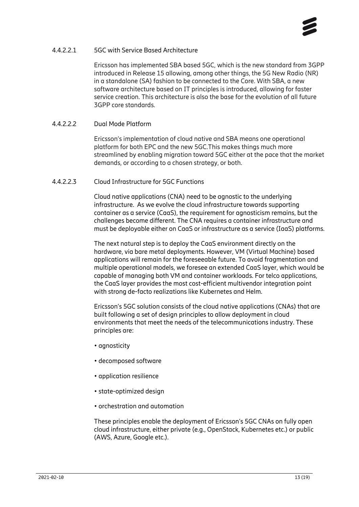

#### 4.4.2.2.1 5GC with Service Based Architecture

Ericsson has implemented SBA based 5GC, which is the new standard from 3GPP introduced in Release 15 allowing, among other things, the 5G New Radio (NR) in a standalone (SA) fashion to be connected to the Core. With SBA, a new software architecture based on IT principles is introduced, allowing for faster service creation. This architecture is also the base for the evolution of all future 3GPP core standards.

#### 4.4.2.2.2 Dual Mode Platform

Ericsson's implementation of cloud native and SBA means one operational platform for both EPC and the new 5GC.This makes things much more streamlined by enabling migration toward 5GC either at the pace that the market demands, or according to a chosen strategy, or both.

#### 4.4.2.2.3 Cloud Infrastructure for 5GC Functions

Cloud native applications (CNA) need to be agnostic to the underlying infrastructure. As we evolve the cloud infrastructure towards supporting container as a service (CaaS), the requirement for agnosticism remains, but the challenges become different. The CNA requires a container infrastructure and must be deployable either on CaaS or infrastructure as a service (IaaS) platforms.

The next natural step is to deploy the CaaS environment directly on the hardware, via bare metal deployments. However, VM (Virtual Machine) based applications will remain for the foreseeable future. To avoid fragmentation and multiple operational models, we foresee an extended CaaS layer, which would be capable of managing both VM and container workloads. For telco applications, the CaaS layer provides the most cost-efficient multivendor integration point with strong de-facto realizations like Kubernetes and Helm.

Ericsson's 5GC solution consists of the cloud native applications (CNAs) that are built following a set of design principles to allow deployment in cloud environments that meet the needs of the telecommunications industry. These principles are:

- agnosticity
- decomposed software
- application resilience
- state-optimized design
- orchestration and automation

These principles enable the deployment of Ericsson's 5GC CNAs on fully open cloud infrastructure, either private (e.g., OpenStack, Kubernetes etc.) or public (AWS, Azure, Google etc.).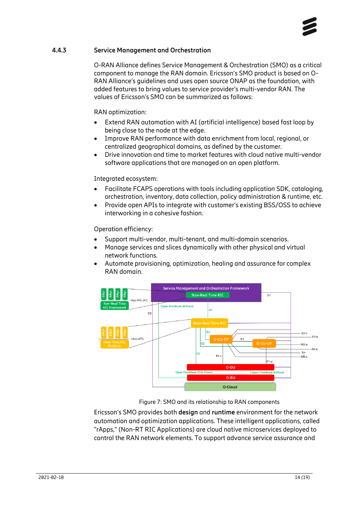

#### **4.4.3 Service Management and Orchestration**

<span id="page-13-0"></span>O-RAN Alliance defines Service Management & Orchestration (SMO) as a critical component to manage the RAN domain. Ericsson's SMO product is based on O-RAN Alliance's guidelines and uses open source ONAP as the foundation, with added features to bring values to service provider's multi-vendor RAN. The values of Ericsson's SMO can be summarized as follows:

RAN optimization:

- Extend RAN automation with AI (artificial intelligence) based fast loop by being close to the node at the edge.
- Improve RAN performance with data enrichment from local, regional, or centralized geographical domains, as defined by the customer.
- Drive innovation and time to market features with cloud native multi-vendor software applications that are managed on an open platform.

#### Integrated ecosystem:

- Facilitate FCAPS operations with tools including application SDK, cataloging, orchestration, inventory, data collection, policy administration & runtime, etc.
- Provide open APIs to integrate with customer's existing BSS/OSS to achieve interworking in a cohesive fashion.

Operation efficiency:

- Support multi-vendor, multi-tenant, and multi-domain scenarios.
- Manage services and slices dynamically with other physical and virtual network functions.
- Automate provisioning, optimization, healing and assurance for complex RAN domain.



Figure 7: SMO and its relationship to RAN components

Ericsson's SMO provides both **design** and **runtime** environment for the network automation and optimization applications. These intelligent applications, called "rApps," (Non-RT RIC Applications) are cloud native microservices deployed to control the RAN network elements. To support advance service assurance and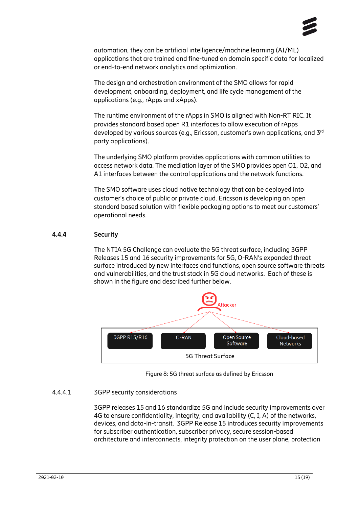

automation, they can be artificial intelligence/machine learning (AI/ML) applications that are trained and fine-tuned on domain specific data for localized or end-to-end network analytics and optimization.

The design and orchestration environment of the SMO allows for rapid development, onboarding, deployment, and life cycle management of the applications (e.g., rApps and xApps).

The runtime environment of the rApps in SMO is aligned with Non-RT RIC. It provides standard based open R1 interfaces to allow execution of rApps developed by various sources (e.g., Ericsson, customer's own applications, and 3rd party applications).

The underlying SMO platform provides applications with common utilities to access network data. The mediation layer of the SMO provides open O1, O2, and A1 interfaces between the control applications and the network functions.

The SMO software uses cloud native technology that can be deployed into customer's choice of public or private cloud. Ericsson is developing an open standard based solution with flexible packaging options to meet our customers' operational needs.

#### **4.4.4 Security**

<span id="page-14-0"></span>The NTIA 5G Challenge can evaluate the 5G threat surface, including 3GPP Releases 15 and 16 security improvements for 5G, O-RAN's expanded threat surface introduced by new interfaces and functions, open source software threats and vulnerabilities, and the trust stack in 5G cloud networks. Each of these is shown in the figure and described further below.



Figure 8: 5G threat surface as defined by Ericsson

#### 4.4.4.1 3GPP security considerations

3GPP releases 15 and 16 standardize 5G and include security improvements over 4G to ensure confidentiality, integrity, and availability (C, I, A) of the networks, devices, and data-in-transit. 3GPP Release 15 introduces security improvements for subscriber authentication, subscriber privacy, secure session-based architecture and interconnects, integrity protection on the user plane, protection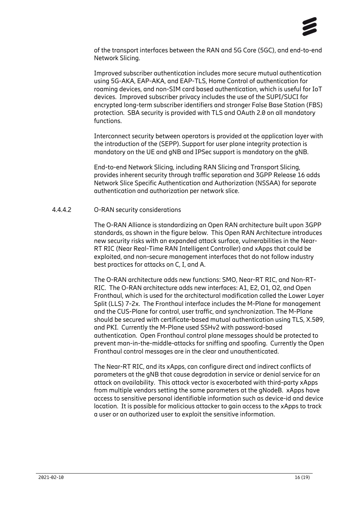

of the transport interfaces between the RAN and 5G Core (5GC), and end-to-end Network Slicing.

Improved subscriber authentication includes more secure mutual authentication using 5G-AKA, EAP-AKA, and EAP-TLS, Home Control of authentication for roaming devices, and non-SIM card based authentication, which is useful for IoT devices. Improved subscriber privacy includes the use of the SUPI/SUCI for encrypted long-term subscriber identifiers and stronger False Base Station (FBS) protection. SBA security is provided with TLS and OAuth 2.0 on all mandatory functions.

Interconnect security between operators is provided at the application layer with the introduction of the (SEPP). Support for user plane integrity protection is mandatory on the UE and gNB and IPSec support is mandatory on the gNB.

End-to-end Network Slicing, including RAN Slicing and Transport Slicing, provides inherent security through traffic separation and 3GPP Release 16 adds Network Slice Specific Authentication and Authorization (NSSAA) for separate authentication and authorization per network slice.

#### 4.4.4.2 O-RAN security considerations

The O-RAN Alliance is standardizing an Open RAN architecture built upon 3GPP standards, as shown in the figure below. This Open RAN Architecture introduces new security risks with an expanded attack surface, vulnerabilities in the Near-RT RIC (Near Real-Time RAN Intelligent Controller) and xApps that could be exploited, and non-secure management interfaces that do not follow industry best practices for attacks on C, I, and A.

The O-RAN architecture adds new functions: SMO, Near-RT RIC, and Non-RT-RIC. The O-RAN architecture adds new interfaces: A1, E2, O1, O2, and Open Fronthaul, which is used for the architectural modification called the Lower Layer Split (LLS) 7-2x. The Fronthaul interface includes the M-Plane for management and the CUS-Plane for control, user traffic, and synchronization. The M-Plane should be secured with certificate-based mutual authentication using TLS, X.509, and PKI. Currently the M-Plane used SSHv2 with password-based authentication. Open Fronthaul control plane messages should be protected to prevent man-in-the-middle-attacks for sniffing and spoofing. Currently the Open Fronthaul control messages are in the clear and unauthenticated.

The Near-RT RIC, and its xApps, can configure direct and indirect conflicts of parameters at the gNB that cause degradation in service or denial service for an attack on availability. This attack vector is exacerbated with third-party xApps from multiple vendors setting the same parameters at the gNodeB. xApps have access to sensitive personal identifiable information such as device-id and device location. It is possible for malicious attacker to gain access to the xApps to track a user or an authorized user to exploit the sensitive information.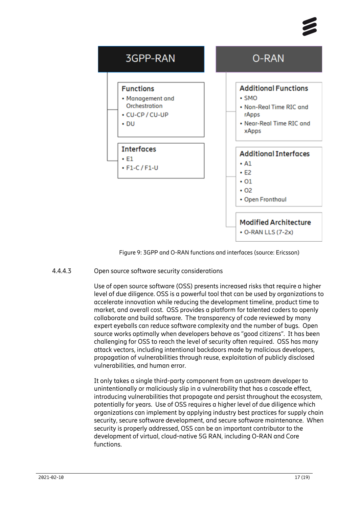



Figure 9: 3GPP and O-RAN functions and interfaces (source: Ericsson)

#### 4.4.4.3 Open source software security considerations

Use of open source software (OSS) presents increased risks that require a higher level of due diligence. OSS is a powerful tool that can be used by organizations to accelerate innovation while reducing the development timeline, product time to market, and overall cost. OSS provides a platform for talented coders to openly collaborate and build software. The transparency of code reviewed by many expert eyeballs can reduce software complexity and the number of bugs. Open source works optimally when developers behave as "good citizens". It has been challenging for OSS to reach the level of security often required. OSS has many attack vectors, including intentional backdoors made by malicious developers, propagation of vulnerabilities through reuse, exploitation of publicly disclosed vulnerabilities, and human error.

It only takes a single third-party component from an upstream developer to unintentionally or maliciously slip in a vulnerability that has a cascade effect, introducing vulnerabilities that propagate and persist throughout the ecosystem, potentially for years. Use of OSS requires a higher level of due diligence which organizations can implement by applying industry best practices for supply chain security, secure software development, and secure software maintenance. When security is properly addressed, OSS can be an important contributor to the development of virtual, cloud-native 5G RAN, including O-RAN and Core functions.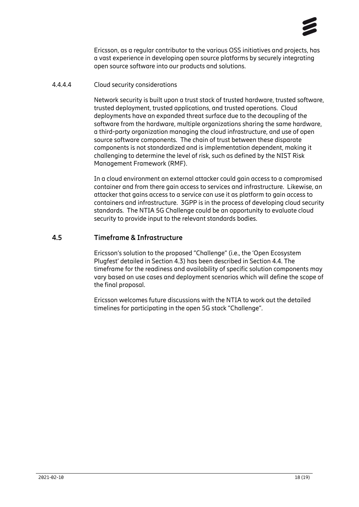

Ericsson, as a regular contributor to the various OSS initiatives and projects, has a vast experience in developing open source platforms by securely integrating open source software into our products and solutions.

#### 4.4.4.4 Cloud security considerations

Network security is built upon a trust stack of trusted hardware, trusted software, trusted deployment, trusted applications, and trusted operations. Cloud deployments have an expanded threat surface due to the decoupling of the software from the hardware, multiple organizations sharing the same hardware, a third-party organization managing the cloud infrastructure, and use of open source software components. The chain of trust between these disparate components is not standardized and is implementation dependent, making it challenging to determine the level of risk, such as defined by the NIST Risk Management Framework (RMF).

In a cloud environment an external attacker could gain access to a compromised container and from there gain access to services and infrastructure. Likewise, an attacker that gains access to a service can use it as platform to gain access to containers and infrastructure. 3GPP is in the process of developing cloud security standards. The NTIA 5G Challenge could be an opportunity to evaluate cloud security to provide input to the relevant standards bodies.

#### **4.5 Timeframe & Infrastructure**

<span id="page-17-0"></span>Ericsson's solution to the proposed "Challenge" (i.e., the 'Open Ecosystem Plugfest' detailed in Section [4.3\)](#page-5-0) has been described in Sectio[n 4.4.](#page-6-0) The timeframe for the readiness and availability of specific solution components may vary based on use cases and deployment scenarios which will define the scope of the final proposal.

Ericsson welcomes future discussions with the NTIA to work out the detailed timelines for participating in the open 5G stack "Challenge".